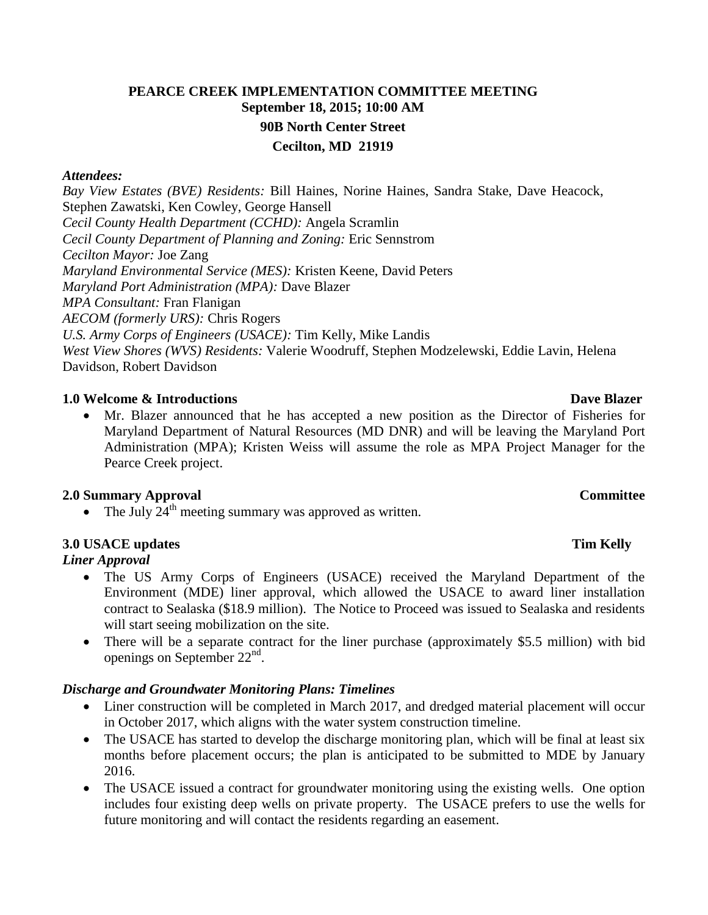# **PEARCE CREEK IMPLEMENTATION COMMITTEE MEETING September 18, 2015; 10:00 AM 90B North Center Street Cecilton, MD 21919**

### *Attendees:*

*Bay View Estates (BVE) Residents:* Bill Haines, Norine Haines, Sandra Stake, Dave Heacock, Stephen Zawatski, Ken Cowley, George Hansell *Cecil County Health Department (CCHD):* Angela Scramlin *Cecil County Department of Planning and Zoning:* Eric Sennstrom *Cecilton Mayor:* Joe Zang *Maryland Environmental Service (MES):* Kristen Keene, David Peters *Maryland Port Administration (MPA):* Dave Blazer *MPA Consultant:* Fran Flanigan *AECOM (formerly URS):* Chris Rogers *U.S. Army Corps of Engineers (USACE):* Tim Kelly, Mike Landis *West View Shores (WVS) Residents:* Valerie Woodruff, Stephen Modzelewski, Eddie Lavin, Helena Davidson, Robert Davidson

## **1.0** Welcome & Introductions **David Blazer** Dave Blazer

 Mr. Blazer announced that he has accepted a new position as the Director of Fisheries for Maryland Department of Natural Resources (MD DNR) and will be leaving the Maryland Port Administration (MPA); Kristen Weiss will assume the role as MPA Project Manager for the Pearce Creek project.

### **2.0 Summary Approval Committee**

• The July  $24<sup>th</sup>$  meeting summary was approved as written.

## **3.0 USACE updates Tim Kelly**

## *Liner Approval*

- The US Army Corps of Engineers (USACE) received the Maryland Department of the Environment (MDE) liner approval, which allowed the USACE to award liner installation contract to Sealaska (\$18.9 million). The Notice to Proceed was issued to Sealaska and residents will start seeing mobilization on the site.
- There will be a separate contract for the liner purchase (approximately \$5.5 million) with bid openings on September  $22<sup>nd</sup>$ .

## *Discharge and Groundwater Monitoring Plans: Timelines*

- Liner construction will be completed in March 2017, and dredged material placement will occur in October 2017, which aligns with the water system construction timeline.
- The USACE has started to develop the discharge monitoring plan, which will be final at least six months before placement occurs; the plan is anticipated to be submitted to MDE by January 2016.
- The USACE issued a contract for groundwater monitoring using the existing wells. One option includes four existing deep wells on private property. The USACE prefers to use the wells for future monitoring and will contact the residents regarding an easement.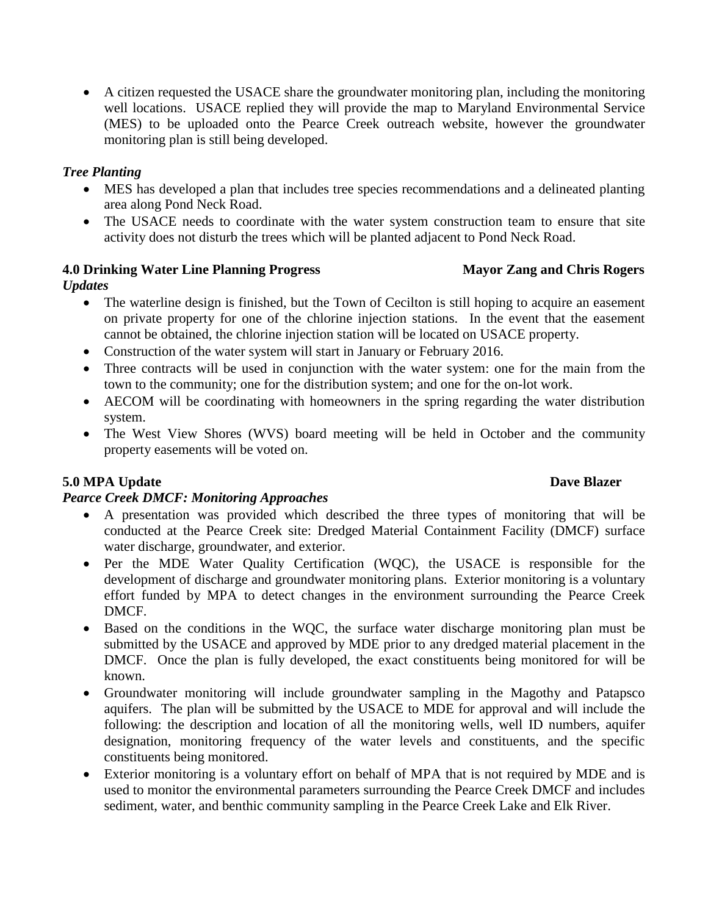A citizen requested the USACE share the groundwater monitoring plan, including the monitoring well locations. USACE replied they will provide the map to Maryland Environmental Service (MES) to be uploaded onto the Pearce Creek outreach website, however the groundwater monitoring plan is still being developed.

## *Tree Planting*

- MES has developed a plan that includes tree species recommendations and a delineated planting area along Pond Neck Road.
- The USACE needs to coordinate with the water system construction team to ensure that site activity does not disturb the trees which will be planted adjacent to Pond Neck Road.

# **4.0 Drinking Water Line Planning Progress Mayor Zang and Chris Rogers**

# *Updates*

- The waterline design is finished, but the Town of Cecilton is still hoping to acquire an easement on private property for one of the chlorine injection stations. In the event that the easement cannot be obtained, the chlorine injection station will be located on USACE property.
- Construction of the water system will start in January or February 2016.
- Three contracts will be used in conjunction with the water system: one for the main from the town to the community; one for the distribution system; and one for the on-lot work.
- AECOM will be coordinating with homeowners in the spring regarding the water distribution system.
- The West View Shores (WVS) board meeting will be held in October and the community property easements will be voted on.

## **5.0 MPA Update** Dave Blazer

## *Pearce Creek DMCF: Monitoring Approaches*

- A presentation was provided which described the three types of monitoring that will be conducted at the Pearce Creek site: Dredged Material Containment Facility (DMCF) surface water discharge, groundwater, and exterior.
- Per the MDE Water Quality Certification (WQC), the USACE is responsible for the development of discharge and groundwater monitoring plans. Exterior monitoring is a voluntary effort funded by MPA to detect changes in the environment surrounding the Pearce Creek DMCF.
- Based on the conditions in the WQC, the surface water discharge monitoring plan must be submitted by the USACE and approved by MDE prior to any dredged material placement in the DMCF. Once the plan is fully developed, the exact constituents being monitored for will be known.
- Groundwater monitoring will include groundwater sampling in the Magothy and Patapsco aquifers. The plan will be submitted by the USACE to MDE for approval and will include the following: the description and location of all the monitoring wells, well ID numbers, aquifer designation, monitoring frequency of the water levels and constituents, and the specific constituents being monitored.
- Exterior monitoring is a voluntary effort on behalf of MPA that is not required by MDE and is used to monitor the environmental parameters surrounding the Pearce Creek DMCF and includes sediment, water, and benthic community sampling in the Pearce Creek Lake and Elk River.